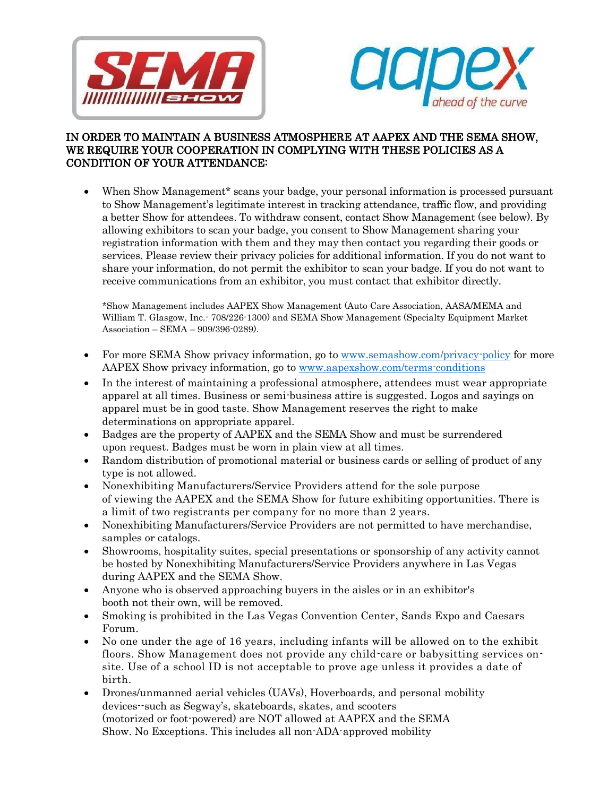



## IN ORDER TO MAINTAIN A BUSINESS ATMOSPHERE AT AAPEX AND THE SEMA SHOW, WE REQUIRE YOUR COOPERATION IN COMPLYING WITH THESE POLICIES AS A CONDITION OF YOUR ATTENDANCE:

• When Show Management<sup>\*</sup> scans your badge, your personal information is processed pursuant to Show Management's legitimate interest in tracking attendance, traffic flow, and providing a better Show for attendees. To withdraw consent, contact Show Management (see below). By allowing exhibitors to scan your badge, you consent to Show Management sharing your registration information with them and they may then contact you regarding their goods or services. Please review their privacy policies for additional information. If you do not want to share your information, do not permit the exhibitor to scan your badge. If you do not want to receive communications from an exhibitor, you must contact that exhibitor directly.

\*Show Management includes AAPEX Show Management (Auto Care Association, AASA/MEMA and William T. Glasgow, Inc.- 708/226-1300) and SEMA Show Management (Specialty Equipment Market Association – SEMA – 909/396-0289).

- For more SEMA Show privacy information, go to [www.semashow.com/privacy-policy](http://www.semashow.com/privacy-policy) for more AAPEX Show privacy information, go to [www.aapexshow.com/terms-conditions](http://www.aapexshow.com/terms-conditions)
- In the interest of maintaining a professional atmosphere, attendees must wear appropriate apparel at all times. Business or semi-business attire is suggested. Logos and sayings on apparel must be in good taste. Show Management reserves the right to make determinations on appropriate apparel.
- Badges are the property of AAPEX and the SEMA Show and must be surrendered upon request. Badges must be worn in plain view at all times.
- Random distribution of promotional material or business cards or selling of product of any type is not allowed.
- Nonexhibiting Manufacturers/Service Providers attend for the sole purpose of viewing the AAPEX and the SEMA Show for future exhibiting opportunities. There is a limit of two registrants per company for no more than 2 years.
- Nonexhibiting Manufacturers/Service Providers are not permitted to have merchandise, samples or catalogs.
- Showrooms, hospitality suites, special presentations or sponsorship of any activity cannot be hosted by Nonexhibiting Manufacturers/Service Providers anywhere in Las Vegas during AAPEX and the SEMA Show.
- Anyone who is observed approaching buyers in the aisles or in an exhibitor's booth not their own, will be removed.
- Smoking is prohibited in the Las Vegas Convention Center, Sands Expo and Caesars Forum.
- No one under the age of 16 years, including infants will be allowed on to the exhibit floors. Show Management does not provide any child-care or babysitting services onsite. Use of a school ID is not acceptable to prove age unless it provides a date of birth.
- Drones/unmanned aerial vehicles (UAVs), Hoverboards, and personal mobility devices--such as Segway's, skateboards, skates, and scooters (motorized or foot-powered) are NOT allowed at AAPEX and the SEMA Show. No Exceptions. This includes all non-ADA-approved mobility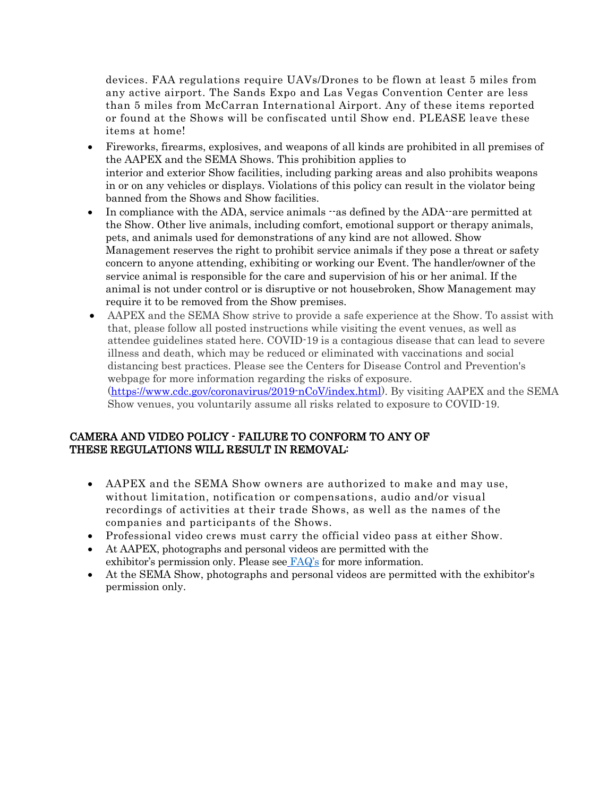devices. FAA regulations require UAVs/Drones to be flown at least 5 miles from any active airport. The Sands Expo and Las Vegas Convention Center are less than 5 miles from McCarran International Airport. Any of these items reported or found at the Shows will be confiscated until Show end. PLEASE leave these items at home!

- Fireworks, firearms, explosives, and weapons of all kinds are prohibited in all premises of the AAPEX and the SEMA Shows. This prohibition applies to interior and exterior Show facilities, including parking areas and also prohibits weapons in or on any vehicles or displays. Violations of this policy can result in the violator being banned from the Shows and Show facilities.
- In compliance with the ADA, service animals --as defined by the ADA--are permitted at the Show. Other live animals, including comfort, emotional support or therapy animals, pets, and animals used for demonstrations of any kind are not allowed. Show Management reserves the right to prohibit service animals if they pose a threat or safety concern to anyone attending, exhibiting or working our Event. The handler/owner of the service animal is responsible for the care and supervision of his or her animal. If the animal is not under control or is disruptive or not housebroken, Show Management may require it to be removed from the Show premises.
- AAPEX and the SEMA Show strive to provide a safe experience at the Show. To assist with that, please follow all posted instructions while visiting the event venues, as well as attendee guidelines stated here. COVID-19 is a contagious disease that can lead to severe illness and death, which may be reduced or eliminated with vaccinations and social distancing best practices. Please see the Centers for Disease Control and Prevention's webpage for more information regarding the risks of exposure. [\(https://www.cdc.gov/coronavirus/2019-nCoV/index.html\)](https://www.cdc.gov/coronavirus/2019-nCoV/index.html). By visiting AAPEX and the SEMA Show venues, you voluntarily assume all risks related to exposure to COVID-19.

## CAMERA AND VIDEO POLICY - FAILURE TO CONFORM TO ANY OF THESE REGULATIONS WILL RESULT IN REMOVAL:

- AAPEX and the SEMA Show owners are authorized to make and may use, without limitation, notification or compensations, audio and/or visual recordings of activities at their trade Shows, as well as the names of the companies and participants of the Shows.
- Professional video crews must carry the official video pass at either Show.
- At AAPEX, photographs and personal videos are permitted with the exhibitor's permission only. Please see [FAQ](http://www.aapexshow.com/faqs/)'s for more information.
- At the SEMA Show, photographs and personal videos are permitted with the exhibitor's permission only.